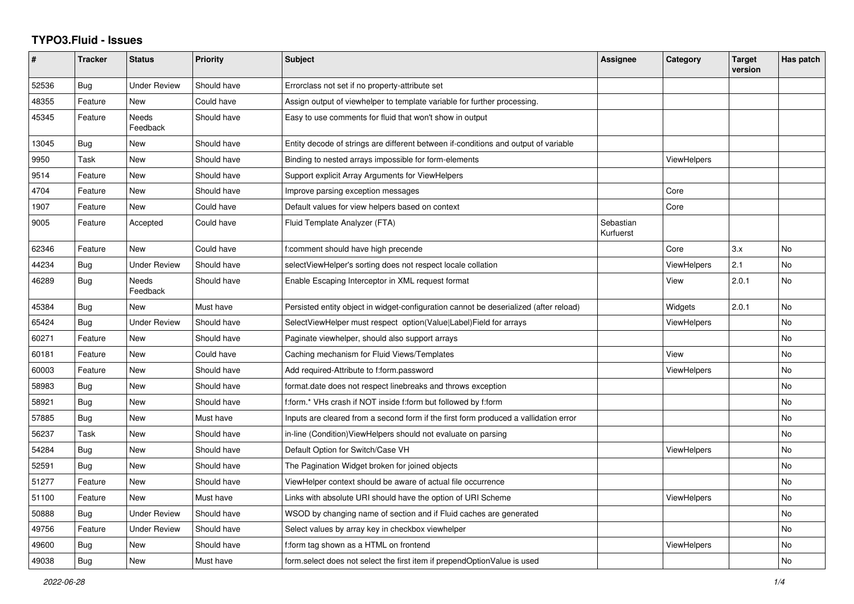## **TYPO3.Fluid - Issues**

| #     | <b>Tracker</b> | <b>Status</b>       | <b>Priority</b> | <b>Subject</b>                                                                        | <b>Assignee</b>        | Category           | <b>Target</b><br>version | Has patch      |
|-------|----------------|---------------------|-----------------|---------------------------------------------------------------------------------------|------------------------|--------------------|--------------------------|----------------|
| 52536 | Bug            | <b>Under Review</b> | Should have     | Errorclass not set if no property-attribute set                                       |                        |                    |                          |                |
| 48355 | Feature        | New                 | Could have      | Assign output of viewhelper to template variable for further processing.              |                        |                    |                          |                |
| 45345 | Feature        | Needs<br>Feedback   | Should have     | Easy to use comments for fluid that won't show in output                              |                        |                    |                          |                |
| 13045 | Bug            | New                 | Should have     | Entity decode of strings are different between if-conditions and output of variable   |                        |                    |                          |                |
| 9950  | Task           | <b>New</b>          | Should have     | Binding to nested arrays impossible for form-elements                                 |                        | <b>ViewHelpers</b> |                          |                |
| 9514  | Feature        | <b>New</b>          | Should have     | Support explicit Array Arguments for ViewHelpers                                      |                        |                    |                          |                |
| 4704  | Feature        | New                 | Should have     | Improve parsing exception messages                                                    |                        | Core               |                          |                |
| 1907  | Feature        | New                 | Could have      | Default values for view helpers based on context                                      |                        | Core               |                          |                |
| 9005  | Feature        | Accepted            | Could have      | Fluid Template Analyzer (FTA)                                                         | Sebastian<br>Kurfuerst |                    |                          |                |
| 62346 | Feature        | <b>New</b>          | Could have      | f:comment should have high precende                                                   |                        | Core               | 3.x                      | <b>No</b>      |
| 44234 | Bug            | <b>Under Review</b> | Should have     | selectViewHelper's sorting does not respect locale collation                          |                        | <b>ViewHelpers</b> | 2.1                      | <b>No</b>      |
| 46289 | Bug            | Needs<br>Feedback   | Should have     | Enable Escaping Interceptor in XML request format                                     |                        | View               | 2.0.1                    | No             |
| 45384 | Bug            | <b>New</b>          | Must have       | Persisted entity object in widget-configuration cannot be deserialized (after reload) |                        | Widgets            | 2.0.1                    | <b>No</b>      |
| 65424 | <b>Bug</b>     | <b>Under Review</b> | Should have     | SelectViewHelper must respect option(Value Label)Field for arrays                     |                        | ViewHelpers        |                          | N <sub>o</sub> |
| 60271 | Feature        | New                 | Should have     | Paginate viewhelper, should also support arrays                                       |                        |                    |                          | <b>No</b>      |
| 60181 | Feature        | New                 | Could have      | Caching mechanism for Fluid Views/Templates                                           |                        | View               |                          | No             |
| 60003 | Feature        | New                 | Should have     | Add required-Attribute to f:form.password                                             |                        | <b>ViewHelpers</b> |                          | No             |
| 58983 | Bug            | New                 | Should have     | format.date does not respect linebreaks and throws exception                          |                        |                    |                          | No             |
| 58921 | Bug            | New                 | Should have     | f:form.* VHs crash if NOT inside f:form but followed by f:form                        |                        |                    |                          | <b>No</b>      |
| 57885 | Bug            | New                 | Must have       | Inputs are cleared from a second form if the first form produced a vallidation error  |                        |                    |                          | <b>No</b>      |
| 56237 | Task           | <b>New</b>          | Should have     | in-line (Condition) View Helpers should not evaluate on parsing                       |                        |                    |                          | No             |
| 54284 | Bug            | New                 | Should have     | Default Option for Switch/Case VH                                                     |                        | <b>ViewHelpers</b> |                          | <b>No</b>      |
| 52591 | Bug            | New                 | Should have     | The Pagination Widget broken for joined objects                                       |                        |                    |                          | No             |
| 51277 | Feature        | New                 | Should have     | ViewHelper context should be aware of actual file occurrence                          |                        |                    |                          | No             |
| 51100 | Feature        | <b>New</b>          | Must have       | Links with absolute URI should have the option of URI Scheme                          |                        | <b>ViewHelpers</b> |                          | <b>No</b>      |
| 50888 | Bug            | <b>Under Review</b> | Should have     | WSOD by changing name of section and if Fluid caches are generated                    |                        |                    |                          | <b>No</b>      |
| 49756 | Feature        | Under Review        | Should have     | Select values by array key in checkbox viewhelper                                     |                        |                    |                          | No             |
| 49600 | Bug            | New                 | Should have     | f:form tag shown as a HTML on frontend                                                |                        | <b>ViewHelpers</b> |                          | No             |
| 49038 | <b>Bug</b>     | <b>New</b>          | Must have       | form select does not select the first item if prependOptionValue is used              |                        |                    |                          | <b>No</b>      |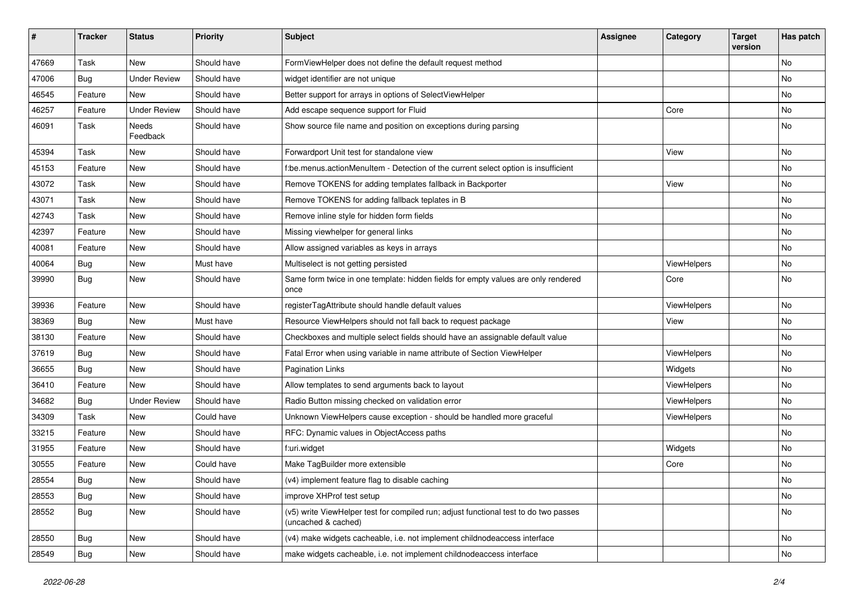| $\sharp$ | <b>Tracker</b> | <b>Status</b>       | <b>Priority</b> | Subject                                                                                                     | <b>Assignee</b> | Category    | <b>Target</b><br>version | Has patch |
|----------|----------------|---------------------|-----------------|-------------------------------------------------------------------------------------------------------------|-----------------|-------------|--------------------------|-----------|
| 47669    | Task           | New                 | Should have     | FormViewHelper does not define the default request method                                                   |                 |             |                          | <b>No</b> |
| 47006    | Bug            | <b>Under Review</b> | Should have     | widget identifier are not unique                                                                            |                 |             |                          | No        |
| 46545    | Feature        | <b>New</b>          | Should have     | Better support for arrays in options of SelectViewHelper                                                    |                 |             |                          | <b>No</b> |
| 46257    | Feature        | <b>Under Review</b> | Should have     | Add escape sequence support for Fluid                                                                       |                 | Core        |                          | No        |
| 46091    | Task           | Needs<br>Feedback   | Should have     | Show source file name and position on exceptions during parsing                                             |                 |             |                          | No        |
| 45394    | Task           | New                 | Should have     | Forwardport Unit test for standalone view                                                                   |                 | View        |                          | No        |
| 45153    | Feature        | New                 | Should have     | f:be.menus.actionMenuItem - Detection of the current select option is insufficient                          |                 |             |                          | No        |
| 43072    | Task           | <b>New</b>          | Should have     | Remove TOKENS for adding templates fallback in Backporter                                                   |                 | View        |                          | No        |
| 43071    | Task           | New                 | Should have     | Remove TOKENS for adding fallback teplates in B                                                             |                 |             |                          | No        |
| 42743    | Task           | New                 | Should have     | Remove inline style for hidden form fields                                                                  |                 |             |                          | <b>No</b> |
| 42397    | Feature        | New                 | Should have     | Missing viewhelper for general links                                                                        |                 |             |                          | No        |
| 40081    | Feature        | New                 | Should have     | Allow assigned variables as keys in arrays                                                                  |                 |             |                          | No        |
| 40064    | Bug            | New                 | Must have       | Multiselect is not getting persisted                                                                        |                 | ViewHelpers |                          | No        |
| 39990    | Bug            | New                 | Should have     | Same form twice in one template: hidden fields for empty values are only rendered<br>once                   |                 | Core        |                          | No        |
| 39936    | Feature        | <b>New</b>          | Should have     | registerTagAttribute should handle default values                                                           |                 | ViewHelpers |                          | No        |
| 38369    | Bug            | New                 | Must have       | Resource ViewHelpers should not fall back to request package                                                |                 | View        |                          | No        |
| 38130    | Feature        | <b>New</b>          | Should have     | Checkboxes and multiple select fields should have an assignable default value                               |                 |             |                          | <b>No</b> |
| 37619    | Bug            | New                 | Should have     | Fatal Error when using variable in name attribute of Section ViewHelper                                     |                 | ViewHelpers |                          | No        |
| 36655    | Bug            | New                 | Should have     | <b>Pagination Links</b>                                                                                     |                 | Widgets     |                          | No        |
| 36410    | Feature        | <b>New</b>          | Should have     | Allow templates to send arguments back to layout                                                            |                 | ViewHelpers |                          | No        |
| 34682    | Bug            | <b>Under Review</b> | Should have     | Radio Button missing checked on validation error                                                            |                 | ViewHelpers |                          | No        |
| 34309    | Task           | <b>New</b>          | Could have      | Unknown ViewHelpers cause exception - should be handled more graceful                                       |                 | ViewHelpers |                          | <b>No</b> |
| 33215    | Feature        | New                 | Should have     | RFC: Dynamic values in ObjectAccess paths                                                                   |                 |             |                          | No        |
| 31955    | Feature        | New                 | Should have     | f:uri.widget                                                                                                |                 | Widgets     |                          | No        |
| 30555    | Feature        | New                 | Could have      | Make TagBuilder more extensible                                                                             |                 | Core        |                          | No        |
| 28554    | Bug            | New                 | Should have     | (v4) implement feature flag to disable caching                                                              |                 |             |                          | No        |
| 28553    | Bug            | New                 | Should have     | improve XHProf test setup                                                                                   |                 |             |                          | No        |
| 28552    | <b>Bug</b>     | New                 | Should have     | (v5) write ViewHelper test for compiled run; adjust functional test to do two passes<br>(uncached & cached) |                 |             |                          | No        |
| 28550    | Bug            | New                 | Should have     | (v4) make widgets cacheable, i.e. not implement childnodeaccess interface                                   |                 |             |                          | No        |
| 28549    | <b>Bug</b>     | New                 | Should have     | make widgets cacheable, i.e. not implement childnodeaccess interface                                        |                 |             |                          | No        |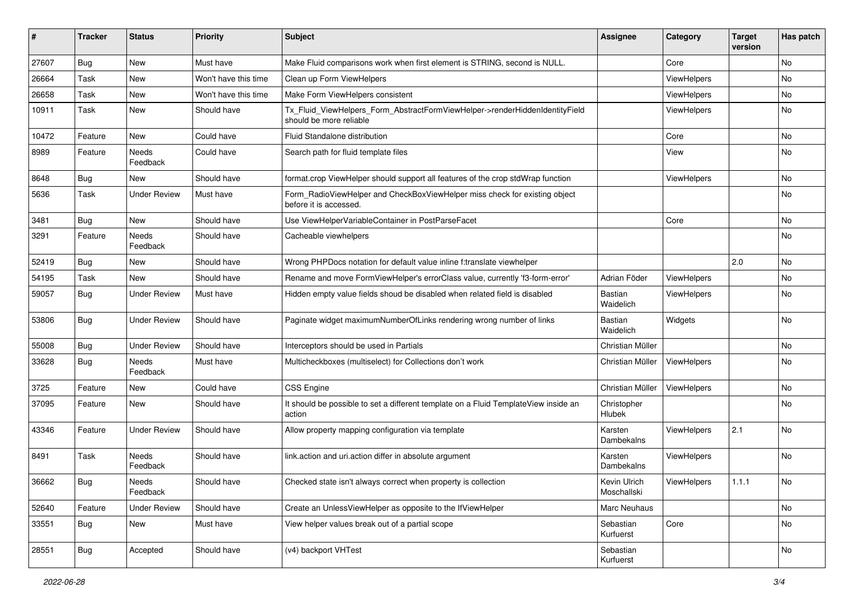| #     | <b>Tracker</b> | <b>Status</b>       | <b>Priority</b>      | Subject                                                                                                | <b>Assignee</b>              | Category    | <b>Target</b><br>version | Has patch |
|-------|----------------|---------------------|----------------------|--------------------------------------------------------------------------------------------------------|------------------------------|-------------|--------------------------|-----------|
| 27607 | Bug            | New                 | Must have            | Make Fluid comparisons work when first element is STRING, second is NULL.                              |                              | Core        |                          | <b>No</b> |
| 26664 | Task           | New                 | Won't have this time | Clean up Form ViewHelpers                                                                              |                              | ViewHelpers |                          | No        |
| 26658 | Task           | New                 | Won't have this time | Make Form ViewHelpers consistent                                                                       |                              | ViewHelpers |                          | No        |
| 10911 | Task           | New                 | Should have          | Tx_Fluid_ViewHelpers_Form_AbstractFormViewHelper->renderHiddenIdentityField<br>should be more reliable |                              | ViewHelpers |                          | No        |
| 10472 | Feature        | New                 | Could have           | Fluid Standalone distribution                                                                          |                              | Core        |                          | No        |
| 8989  | Feature        | Needs<br>Feedback   | Could have           | Search path for fluid template files                                                                   |                              | View        |                          | No        |
| 8648  | Bug            | New                 | Should have          | format.crop ViewHelper should support all features of the crop stdWrap function                        |                              | ViewHelpers |                          | No        |
| 5636  | Task           | <b>Under Review</b> | Must have            | Form_RadioViewHelper and CheckBoxViewHelper miss check for existing object<br>before it is accessed.   |                              |             |                          | No        |
| 3481  | Bug            | New                 | Should have          | Use ViewHelperVariableContainer in PostParseFacet                                                      |                              | Core        |                          | No        |
| 3291  | Feature        | Needs<br>Feedback   | Should have          | Cacheable viewhelpers                                                                                  |                              |             |                          | No        |
| 52419 | Bug            | New                 | Should have          | Wrong PHPDocs notation for default value inline f:translate viewhelper                                 |                              |             | 2.0                      | <b>No</b> |
| 54195 | Task           | New                 | Should have          | Rename and move FormViewHelper's errorClass value, currently 'f3-form-error'                           | Adrian Föder                 | ViewHelpers |                          | No        |
| 59057 | Bug            | <b>Under Review</b> | Must have            | Hidden empty value fields shoud be disabled when related field is disabled                             | <b>Bastian</b><br>Waidelich  | ViewHelpers |                          | No        |
| 53806 | Bug            | <b>Under Review</b> | Should have          | Paginate widget maximumNumberOfLinks rendering wrong number of links                                   | <b>Bastian</b><br>Waidelich  | Widgets     |                          | No        |
| 55008 | Bug            | <b>Under Review</b> | Should have          | Interceptors should be used in Partials                                                                | Christian Müller             |             |                          | No        |
| 33628 | Bug            | Needs<br>Feedback   | Must have            | Multicheckboxes (multiselect) for Collections don't work                                               | Christian Müller             | ViewHelpers |                          | No        |
| 3725  | Feature        | New                 | Could have           | CSS Engine                                                                                             | Christian Müller             | ViewHelpers |                          | No        |
| 37095 | Feature        | New                 | Should have          | It should be possible to set a different template on a Fluid TemplateView inside an<br>action          | Christopher<br><b>Hlubek</b> |             |                          | No        |
| 43346 | Feature        | <b>Under Review</b> | Should have          | Allow property mapping configuration via template                                                      | Karsten<br>Dambekalns        | ViewHelpers | 2.1                      | No        |
| 8491  | Task           | Needs<br>Feedback   | Should have          | link.action and uri.action differ in absolute argument                                                 | Karsten<br>Dambekalns        | ViewHelpers |                          | No        |
| 36662 | Bug            | Needs<br>Feedback   | Should have          | Checked state isn't always correct when property is collection                                         | Kevin Ulrich<br>Moschallski  | ViewHelpers | 1.1.1                    | No        |
| 52640 | Feature        | <b>Under Review</b> | Should have          | Create an UnlessViewHelper as opposite to the IfViewHelper                                             | Marc Neuhaus                 |             |                          | No        |
| 33551 | <b>Bug</b>     | New                 | Must have            | View helper values break out of a partial scope                                                        | Sebastian<br>Kurfuerst       | Core        |                          | No        |
| 28551 | Bug            | Accepted            | Should have          | (v4) backport VHTest                                                                                   | Sebastian<br>Kurfuerst       |             |                          | No        |